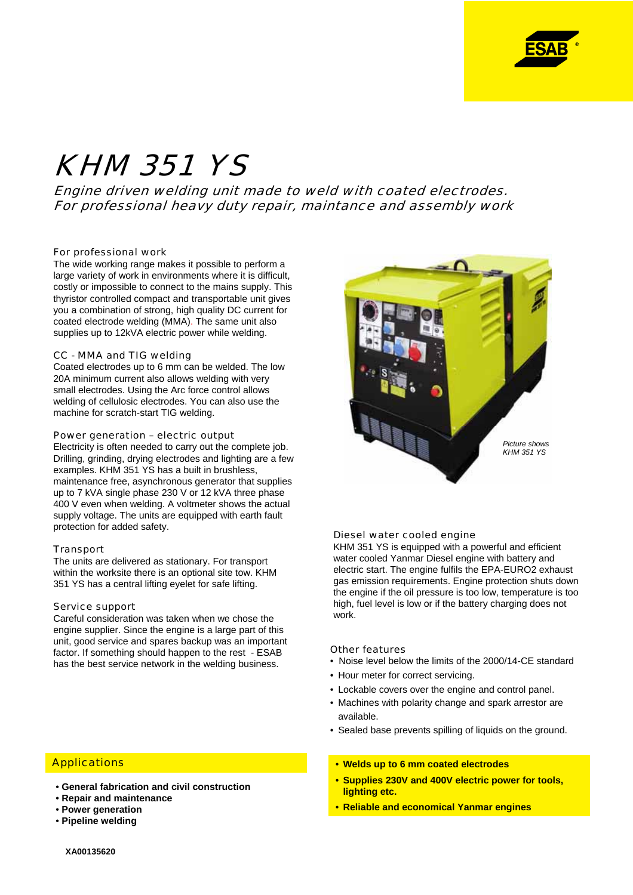

# KHM 351 YS

Engine driven welding unit made to weld with coated electrodes. For professional heavy duty repair, maintance and assembly work

#### For professional work

The wide working range makes it possible to perform a large variety of work in environments where it is difficult, costly or impossible to connect to the mains supply. This thyristor controlled compact and transportable unit gives you a combination of strong, high quality DC current for coated electrode welding (MMA). The same unit also supplies up to 12kVA electric power while welding.

## CC - MMA and TIG welding

Coated electrodes up to 6 mm can be welded. The low 20A minimum current also allows welding with very small electrodes. Using the Arc force control allows welding of cellulosic electrodes. You can also use the machine for scratch-start TIG welding.

#### Power generation – electric output

Electricity is often needed to carry out the complete job. Drilling, grinding, drying electrodes and lighting are a few examples. KHM 351 YS has a built in brushless, maintenance free, asynchronous generator that supplies up to 7 kVA single phase 230 V or 12 kVA three phase 400 V even when welding. A voltmeter shows the actual supply voltage. The units are equipped with earth fault protection for added safety.

#### Transport

The units are delivered as stationary. For transport within the worksite there is an optional site tow. KHM 351 YS has a central lifting eyelet for safe lifting.

# Service support

Careful consideration was taken when we chose the engine supplier. Since the engine is a large part of this unit, good service and spares backup was an important factor. If something should happen to the rest - ESAB has the best service network in the welding business.

## **Applications**

- **General fabrication and civil construction**
- **Repair and maintenance**
- **Power generation**
- **Pipeline welding**



#### Diesel water cooled engine

KHM 351 YS is equipped with a powerful and efficient water cooled Yanmar Diesel engine with battery and electric start. The engine fulfils the EPA-EURO2 exhaust gas emission requirements. Engine protection shuts down the engine if the oil pressure is too low, temperature is too high, fuel level is low or if the battery charging does not work.

#### Other features

- Noise level below the limits of the 2000/14-CE standard
- Hour meter for correct servicing.
- Lockable covers over the engine and control panel.
- Machines with polarity change and spark arrestor are available.
- Sealed base prevents spilling of liquids on the ground.
- **Welds up to 6 mm coated electrodes**
- **Supplies 230V and 400V electric power for tools, lighting etc.**
- **Reliable and economical Yanmar engines**